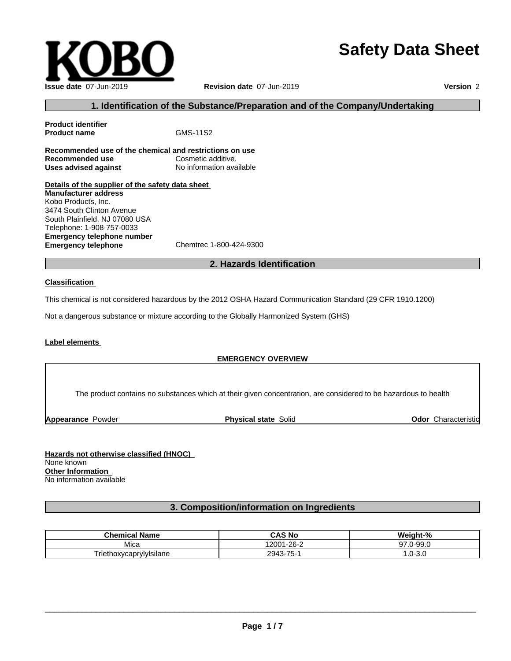# **Safety Data Sheet**

#### **EMERGENCY OVERVIEW**

**2. Hazards Identification**

The product contains no substances which at their given concentration, are considered to be hazardous to health

**Appearance Powder <b>Physical state** Solid

**Odor** Characteristic

**Hazards not otherwise classified (HNOC)** None known **Other Information** No information available

#### **3. Composition/information on Ingredients**

| <b>Chemical Name</b>           | <b>CAS No</b>                              | $\sim 0$<br>. пг-                  |
|--------------------------------|--------------------------------------------|------------------------------------|
| Mica                           | $\sim$<br>$\sim$<br>∠∪∪<br>$1 - 7 -$<br>∠∪ | $\sim$ $\sim$<br>$\sim$<br>''-99.c |
| - -<br>FriethoxycaprylyIsilane | 2943<br>$- -$<br>- O                       | $7 - 3.0$<br>w                     |

 $\_$  ,  $\_$  ,  $\_$  ,  $\_$  ,  $\_$  ,  $\_$  ,  $\_$  ,  $\_$  ,  $\_$  ,  $\_$  ,  $\_$  ,  $\_$  ,  $\_$  ,  $\_$  ,  $\_$  ,  $\_$  ,  $\_$  ,  $\_$  ,  $\_$  ,  $\_$  ,  $\_$  ,  $\_$  ,  $\_$  ,  $\_$  ,  $\_$  ,  $\_$  ,  $\_$  ,  $\_$  ,  $\_$  ,  $\_$  ,  $\_$  ,  $\_$  ,  $\_$  ,  $\_$  ,  $\_$  ,  $\_$  ,  $\_$  ,



**Product name** GMS-11S2

**Details of the supplier of the safety data sheet**

**Recommended use of the chemical and restrictions on use Recommended use Cosmetic additive. Uses advised against** No information available

**1. Identification of the Substance/Preparation and of the Company/Undertaking**

This chemical is not considered hazardous by the 2012 OSHA Hazard Communication Standard (29 CFR 1910.1200)

Not a dangerous substance or mixture according to the Globally Harmonized System (GHS)

**Manufacturer address** Kobo Products, Inc.

**Classification**

**Label elements**

**Product identifier**

**Emergency telephone number Emergency telephone** Chemtrec 1-800-424-9300 3474 South Clinton Avenue South Plainfield, NJ 07080 USA Telephone: 1-908-757-0033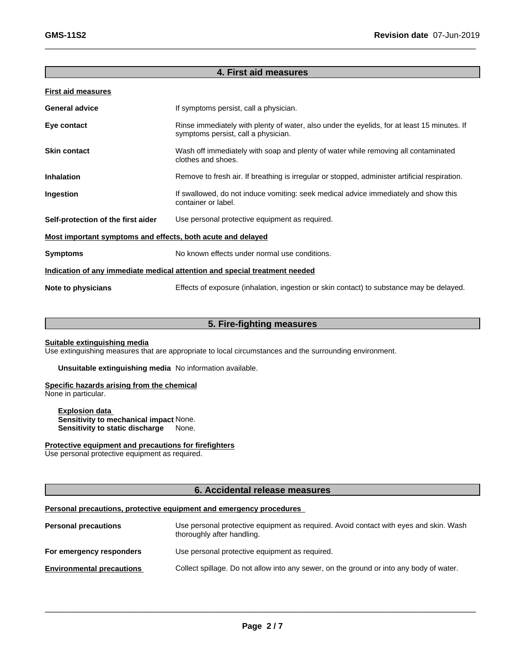### **4. First aid measures**

#### **First aid measures**

| <b>General advice</b>                                                      | If symptoms persist, call a physician.                                                                                             |
|----------------------------------------------------------------------------|------------------------------------------------------------------------------------------------------------------------------------|
| Eye contact                                                                | Rinse immediately with plenty of water, also under the eyelids, for at least 15 minutes. If<br>symptoms persist, call a physician. |
| <b>Skin contact</b>                                                        | Wash off immediately with soap and plenty of water while removing all contaminated<br>clothes and shoes.                           |
| <b>Inhalation</b>                                                          | Remove to fresh air. If breathing is irregular or stopped, administer artificial respiration.                                      |
| Ingestion                                                                  | If swallowed, do not induce vomiting: seek medical advice immediately and show this<br>container or label.                         |
| Self-protection of the first aider                                         | Use personal protective equipment as required.                                                                                     |
| Most important symptoms and effects, both acute and delayed                |                                                                                                                                    |
| <b>Symptoms</b>                                                            | No known effects under normal use conditions.                                                                                      |
| Indication of any immediate medical attention and special treatment needed |                                                                                                                                    |
| Note to physicians                                                         | Effects of exposure (inhalation, ingestion or skin contact) to substance may be delayed.                                           |

## **5. Fire-fighting measures**

#### **Suitable extinguishing media**

Use extinguishing measures that are appropriate to local circumstances and the surrounding environment.

**Unsuitable extinguishing media** No information available.

### **Specific hazards arising from the chemical**

None in particular.

**Explosion data Sensitivity to mechanical impact** None. **Sensitivity to static discharge** None.

### **Protective equipment and precautions for firefighters**

Use personal protective equipment as required.

### **6. Accidental release measures**

#### **Personal precautions, protective equipment and emergency procedures**

| <b>Personal precautions</b>      | Use personal protective equipment as required. Avoid contact with eyes and skin. Wash<br>thoroughly after handling. |
|----------------------------------|---------------------------------------------------------------------------------------------------------------------|
| For emergency responders         | Use personal protective equipment as required.                                                                      |
| <b>Environmental precautions</b> | Collect spillage. Do not allow into any sewer, on the ground or into any body of water.                             |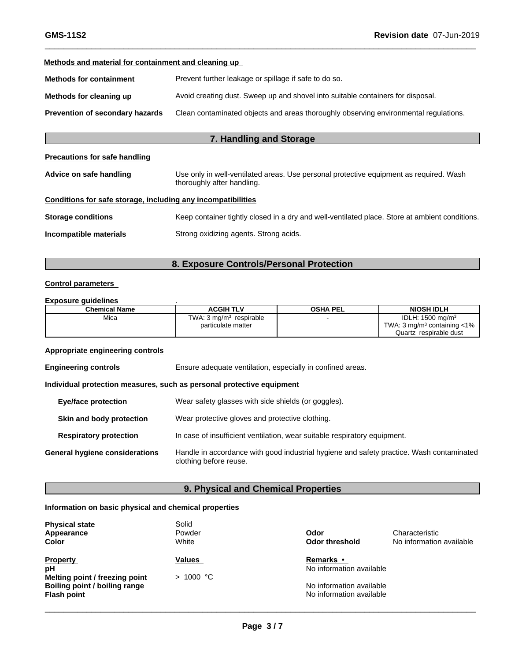### **Methods and material for containment and cleaning up**

| <b>Methods for containment</b>         | Prevent further leakage or spillage if safe to do so.                                |
|----------------------------------------|--------------------------------------------------------------------------------------|
| Methods for cleaning up                | Avoid creating dust. Sweep up and shovel into suitable containers for disposal.      |
| <b>Prevention of secondary hazards</b> | Clean contaminated objects and areas thoroughly observing environmental regulations. |
|                                        |                                                                                      |

# **7. Handling and Storage**

#### **Precautions for safe handling**

| Advice on safe handling                                      | Use only in well-ventilated areas. Use personal protective equipment as required. Wash<br>thoroughly after handling. |
|--------------------------------------------------------------|----------------------------------------------------------------------------------------------------------------------|
| Conditions for safe storage, including any incompatibilities |                                                                                                                      |
| <b>Storage conditions</b>                                    | Keep container tightly closed in a dry and well-ventilated place. Store at ambient conditions.                       |
| Incompatible materials                                       | Strong oxidizing agents. Strong acids.                                                                               |

### **8. Exposure Controls/Personal Protection**

#### **Control parameters**

#### **Exposure guidelines** .

| <b>Chemical Name</b> | <b>ACGIH TLV</b>                      | <b>OSHA PEL</b> | <b>NIOSH IDLH</b>                                        |
|----------------------|---------------------------------------|-----------------|----------------------------------------------------------|
| Mica                 | TWA: $3 \text{ ma/m}^3$<br>respirable |                 | $n$ DLH: 1500 mg/m <sup>3</sup>                          |
|                      | particulate matter                    |                 | $1 < 1\%$<br>TWA: 3 mg/m <sup>3</sup> containing $\cdot$ |
|                      |                                       |                 | respirable dust<br>Quartz                                |

#### **Appropriate engineering controls**

**Engineering controls** Ensure adequate ventilation, especially in confined areas.

#### **Individual protection measures, such as personal protective equipment**

| Eye/face protection            | Wear safety glasses with side shields (or goggles).                                                                |  |
|--------------------------------|--------------------------------------------------------------------------------------------------------------------|--|
| Skin and body protection       | Wear protective gloves and protective clothing.                                                                    |  |
| <b>Respiratory protection</b>  | In case of insufficient ventilation, wear suitable respiratory equipment.                                          |  |
| General hygiene considerations | Handle in accordance with good industrial hygiene and safety practice. Wash contaminated<br>clothing before reuse. |  |

### **9. Physical and Chemical Properties**

#### **Information on basic physical and chemical properties**

| <b>Physical state</b><br>Appearance<br>Color                                                                   | Solid<br>Powder<br>White | Odor<br>Odor threshold                                                                               | Characteristic<br>No information available |
|----------------------------------------------------------------------------------------------------------------|--------------------------|------------------------------------------------------------------------------------------------------|--------------------------------------------|
| <b>Property</b><br>рH<br>Melting point / freezing point<br>Boiling point / boiling range<br><b>Flash point</b> | Values<br>> 1000 °C      | <b>Remarks •</b><br>No information available<br>No information available<br>No information available |                                            |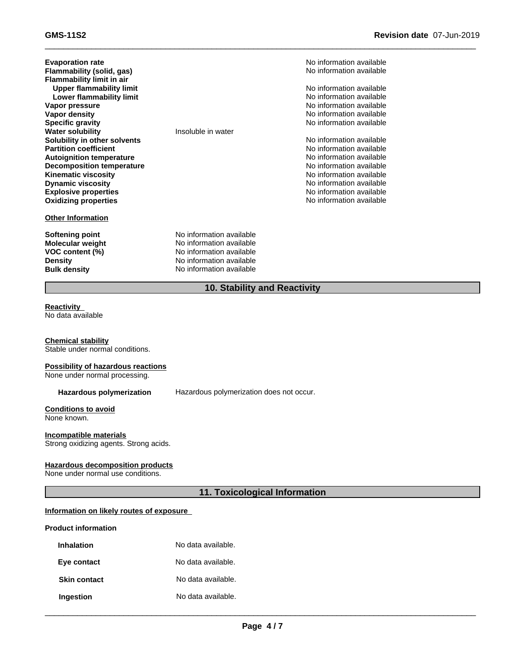| <b>Evaporation rate</b><br>Flammability (solid, gas)<br><b>Flammability limit in air</b><br><b>Upper flammability limit</b><br>Lower flammability limit<br>Vapor pressure<br>Vapor density<br><b>Specific gravity</b><br><b>Water solubility</b><br>Solubility in other solvents<br><b>Partition coefficient</b><br><b>Autoignition temperature</b><br><b>Decomposition temperature</b><br><b>Kinematic viscosity</b><br><b>Dynamic viscosity</b><br><b>Explosive properties</b><br><b>Oxidizing properties</b> | Insoluble in water                                                                                                                       | No information available<br>No information available<br>No information available<br>No information available<br>No information available<br>No information available<br>No information available<br>No information available<br>No information available<br>No information available<br>No information available<br>No information available<br>No information available<br>No information available<br>No information available |
|-----------------------------------------------------------------------------------------------------------------------------------------------------------------------------------------------------------------------------------------------------------------------------------------------------------------------------------------------------------------------------------------------------------------------------------------------------------------------------------------------------------------|------------------------------------------------------------------------------------------------------------------------------------------|----------------------------------------------------------------------------------------------------------------------------------------------------------------------------------------------------------------------------------------------------------------------------------------------------------------------------------------------------------------------------------------------------------------------------------|
| <b>Other Information</b><br>Softening point<br><b>Molecular weight</b><br>VOC content (%)<br><b>Density</b><br><b>Bulk density</b>                                                                                                                                                                                                                                                                                                                                                                              | No information available<br>No information available<br>No information available<br>No information available<br>No information available |                                                                                                                                                                                                                                                                                                                                                                                                                                  |

# **10. Stability and Reactivity**

# **Reactivity**

No data available

#### **Chemical stability** Stable under normal conditions.

#### **Possibility of hazardous reactions**

None under normal processing.

**Hazardous polymerization** Hazardous polymerization does not occur.

#### **Conditions to avoid** None known.

# **Incompatible materials**

Strong oxidizing agents. Strong acids.

#### **Hazardous decomposition products**

None under normal use conditions.

# **11. Toxicological Information**

## **Information on likely routes of exposure**

#### **Product information**

| <b>Inhalation</b>   | No data available. |
|---------------------|--------------------|
| Eye contact         | No data available. |
| <b>Skin contact</b> | No data available. |
| Ingestion           | No data available. |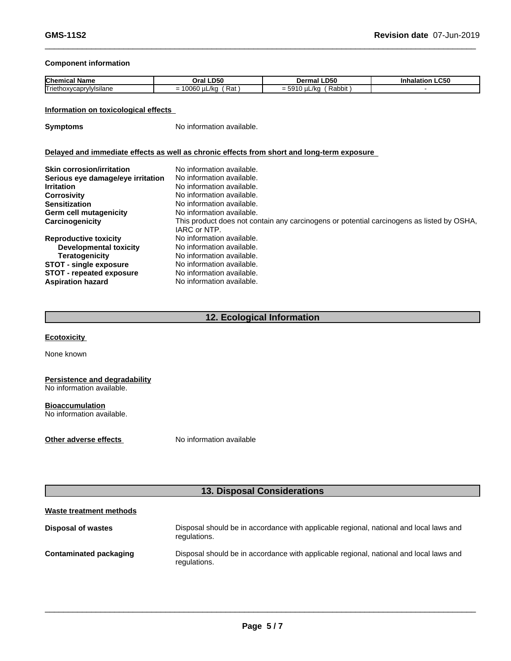#### **Component information**

| <b>Chemical</b>                                              | LD50                                                                                                                                                                                                                                                                                                                                                                                                                                                                                                                    | LD50                                            | <b>LC50</b> |
|--------------------------------------------------------------|-------------------------------------------------------------------------------------------------------------------------------------------------------------------------------------------------------------------------------------------------------------------------------------------------------------------------------------------------------------------------------------------------------------------------------------------------------------------------------------------------------------------------|-------------------------------------------------|-------------|
| Name                                                         | Orai.                                                                                                                                                                                                                                                                                                                                                                                                                                                                                                                   | Dermal                                          | ланог       |
| <u>.</u><br>rietho)<br>10000<br>/Isilane<br><b>IUA</b><br>ua | 0.000<br>Rat<br>"<br>_<br>$\sim$<br>. וני<br>$\frac{1}{2} \left( \frac{1}{2} \right) \left( \frac{1}{2} \right) \left( \frac{1}{2} \right) \left( \frac{1}{2} \right) \left( \frac{1}{2} \right) \left( \frac{1}{2} \right) \left( \frac{1}{2} \right) \left( \frac{1}{2} \right) \left( \frac{1}{2} \right) \left( \frac{1}{2} \right) \left( \frac{1}{2} \right) \left( \frac{1}{2} \right) \left( \frac{1}{2} \right) \left( \frac{1}{2} \right) \left( \frac{1}{2} \right) \left( \frac{1}{2} \right) \left( \frac$ | $-\sim$<br>.<br>Rabbit<br>-<br>L/K(<br><br>- 03 |             |

#### **Information on toxicological effects**

**Symptoms** No information available.

#### **Delayed and immediate effects as well as chronic effects from short and long-term exposure**

| <b>Skin corrosion/irritation</b>  | No information available.                                                                 |
|-----------------------------------|-------------------------------------------------------------------------------------------|
| Serious eye damage/eye irritation | No information available.                                                                 |
| <b>Irritation</b>                 | No information available.                                                                 |
| <b>Corrosivity</b>                | No information available.                                                                 |
| <b>Sensitization</b>              | No information available.                                                                 |
| <b>Germ cell mutagenicity</b>     | No information available.                                                                 |
| Carcinogenicity                   | This product does not contain any carcinogens or potential carcinogens as listed by OSHA, |
|                                   | IARC or NTP.                                                                              |
| <b>Reproductive toxicity</b>      | No information available.                                                                 |
| <b>Developmental toxicity</b>     | No information available.                                                                 |
| Teratogenicity                    | No information available.                                                                 |
| <b>STOT - single exposure</b>     | No information available.                                                                 |
| <b>STOT - repeated exposure</b>   | No information available.                                                                 |
| <b>Aspiration hazard</b>          | No information available.                                                                 |

# **12. Ecological Information**

#### **Ecotoxicity**

None known

# **Persistence and degradability**

No information available.

**Bioaccumulation** No information available.

**Other adverse effects** No information available

# **13. Disposal Considerations**

#### **Waste treatment methods**

| Disposal of wastes     | Disposal should be in accordance with applicable regional, national and local laws and<br>regulations. |
|------------------------|--------------------------------------------------------------------------------------------------------|
| Contaminated packaging | Disposal should be in accordance with applicable regional, national and local laws and<br>regulations. |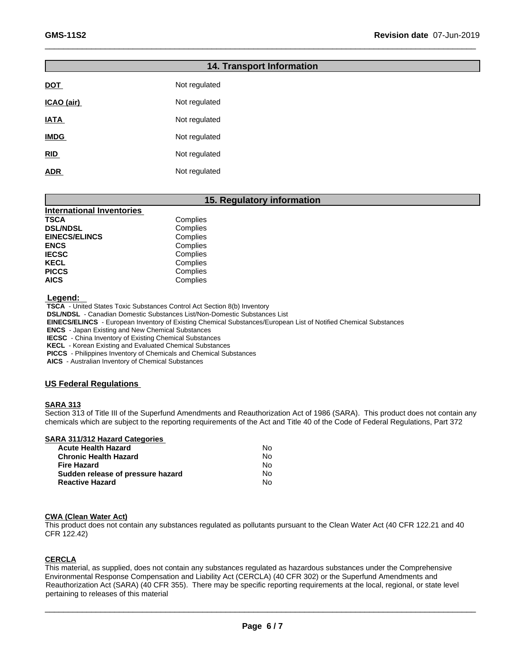# **14. Transport Information DOT** Not regulated **ICAO** (air) Not regulated **IATA** Not regulated **IMDG** Not regulated **RID** Not regulated **ADR** Not regulated

### **15. Regulatory information**

| Complies |  |
|----------|--|
| Complies |  |
| Complies |  |
| Complies |  |
| Complies |  |
| Complies |  |
| Complies |  |
| Complies |  |
|          |  |

 **Legend:** 

 **TSCA** - United States Toxic Substances Control Act Section 8(b) Inventory

 **DSL/NDSL** - Canadian Domestic Substances List/Non-Domestic Substances List

 **EINECS/ELINCS** - European Inventory of Existing Chemical Substances/European List of Notified Chemical Substances

 **ENCS** - Japan Existing and New Chemical Substances

 **IECSC** - China Inventory of Existing Chemical Substances

 **KECL** - Korean Existing and Evaluated Chemical Substances

 **PICCS** - Philippines Inventory of Chemicals and Chemical Substances

 **AICS** - Australian Inventory of Chemical Substances

#### **US Federal Regulations**

#### **SARA 313**

Section 313 of Title III of the Superfund Amendments and Reauthorization Act of 1986 (SARA). This product does not contain any chemicals which are subject to the reporting requirements of the Act and Title 40 of the Code of Federal Regulations, Part 372

| SARA 311/312 Hazard Categories |
|--------------------------------|
|--------------------------------|

| Acute Health Hazard               | No. |  |
|-----------------------------------|-----|--|
| Chronic Health Hazard             | No. |  |
| Fire Hazard                       | No. |  |
| Sudden release of pressure hazard | No. |  |
| <b>Reactive Hazard</b>            | No. |  |

#### **CWA** (Clean Water Act)

This product does not contain any substances regulated as pollutants pursuant to the Clean Water Act (40 CFR 122.21 and 40 CFR 122.42)

#### **CERCLA**

This material, as supplied, does not contain any substances regulated as hazardous substances under the Comprehensive Environmental Response Compensation and Liability Act (CERCLA) (40 CFR 302) or the Superfund Amendments and Reauthorization Act (SARA) (40 CFR 355). There may be specific reporting requirements at the local, regional, or state level pertaining to releases of this material